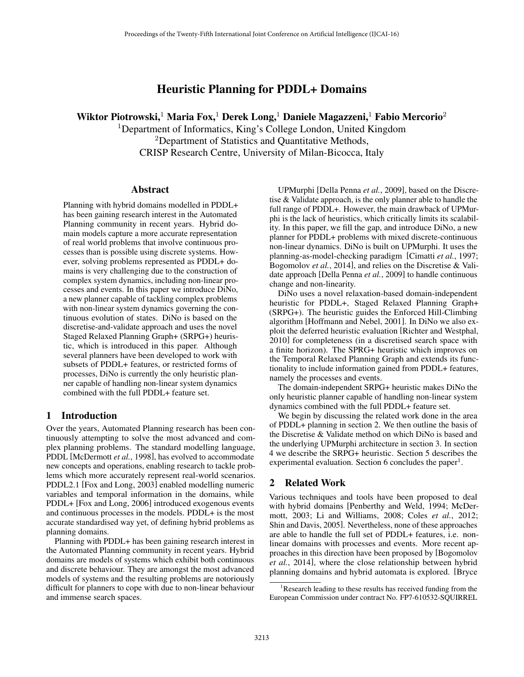# Heuristic Planning for PDDL+ Domains

Wiktor Piotrowski, $^1$  Maria Fox, $^1$  Derek Long, $^1$  Daniele Magazzeni, $^1$  Fabio Mercorio $^2$ 

<sup>1</sup>Department of Informatics, King's College London, United Kingdom <sup>2</sup>Department of Statistics and Quantitative Methods, CRISP Research Centre, University of Milan-Bicocca, Italy

### Abstract

Planning with hybrid domains modelled in PDDL+ has been gaining research interest in the Automated Planning community in recent years. Hybrid domain models capture a more accurate representation of real world problems that involve continuous processes than is possible using discrete systems. However, solving problems represented as PDDL+ domains is very challenging due to the construction of complex system dynamics, including non-linear processes and events. In this paper we introduce DiNo, a new planner capable of tackling complex problems with non-linear system dynamics governing the continuous evolution of states. DiNo is based on the discretise-and-validate approach and uses the novel Staged Relaxed Planning Graph+ (SRPG+) heuristic, which is introduced in this paper. Although several planners have been developed to work with subsets of PDDL+ features, or restricted forms of processes, DiNo is currently the only heuristic planner capable of handling non-linear system dynamics combined with the full PDDL+ feature set.

### 1 Introduction

Over the years, Automated Planning research has been continuously attempting to solve the most advanced and complex planning problems. The standard modelling language, PDDL [McDermott *et al.*, 1998], has evolved to accommodate new concepts and operations, enabling research to tackle problems which more accurately represent real-world scenarios. PDDL2.1 [Fox and Long, 2003] enabled modelling numeric variables and temporal information in the domains, while PDDL+ [Fox and Long, 2006] introduced exogenous events and continuous processes in the models. PDDL+ is the most accurate standardised way yet, of defining hybrid problems as planning domains.

Planning with PDDL+ has been gaining research interest in the Automated Planning community in recent years. Hybrid domains are models of systems which exhibit both continuous and discrete behaviour. They are amongst the most advanced models of systems and the resulting problems are notoriously difficult for planners to cope with due to non-linear behaviour and immense search spaces.

UPMurphi [Della Penna *et al.*, 2009], based on the Discretise & Validate approach, is the only planner able to handle the full range of PDDL+. However, the main drawback of UPMurphi is the lack of heuristics, which critically limits its scalability. In this paper, we fill the gap, and introduce DiNo, a new planner for PDDL+ problems with mixed discrete-continuous non-linear dynamics. DiNo is built on UPMurphi. It uses the planning-as-model-checking paradigm [Cimatti *et al.*, 1997; Bogomolov *et al.*, 2014], and relies on the Discretise & Validate approach [Della Penna *et al.*, 2009] to handle continuous change and non-linearity.

DiNo uses a novel relaxation-based domain-independent heuristic for PDDL+, Staged Relaxed Planning Graph+ (SRPG+). The heuristic guides the Enforced Hill-Climbing algorithm [Hoffmann and Nebel, 2001]. In DiNo we also exploit the deferred heuristic evaluation [Richter and Westphal, 2010] for completeness (in a discretised search space with a finite horizon). The SPRG+ heuristic which improves on the Temporal Relaxed Planning Graph and extends its functionality to include information gained from PDDL+ features, namely the processes and events.

The domain-independent SRPG+ heuristic makes DiNo the only heuristic planner capable of handling non-linear system dynamics combined with the full PDDL+ feature set.

We begin by discussing the related work done in the area of PDDL+ planning in section 2. We then outline the basis of the Discretise & Validate method on which DiNo is based and the underlying UPMurphi architecture in section 3. In section 4 we describe the SRPG+ heuristic. Section 5 describes the experimental evaluation. Section 6 concludes the paper<sup>1</sup>.

# 2 Related Work

Various techniques and tools have been proposed to deal with hybrid domains [Penberthy and Weld, 1994; McDermott, 2003; Li and Williams, 2008; Coles *et al.*, 2012; Shin and Davis, 2005]. Nevertheless, none of these approaches are able to handle the full set of PDDL+ features, i.e. nonlinear domains with processes and events. More recent approaches in this direction have been proposed by [Bogomolov *et al.*, 2014], where the close relationship between hybrid planning domains and hybrid automata is explored. [Bryce

<sup>&</sup>lt;sup>1</sup>Research leading to these results has received funding from the European Commission under contract No. FP7-610532-SQUIRREL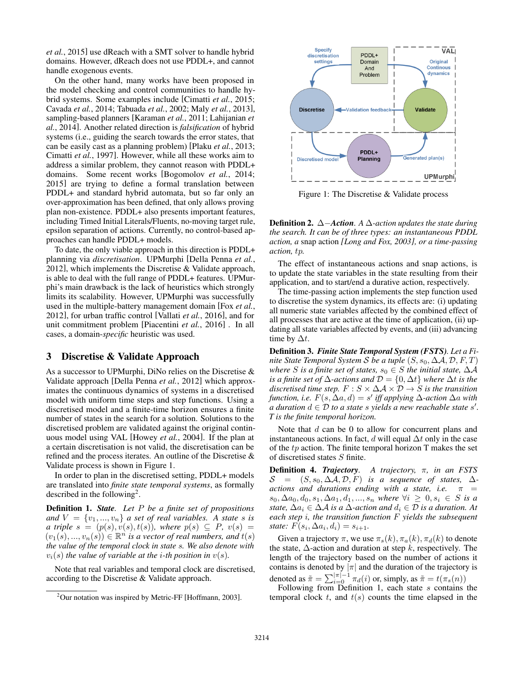*et al.*, 2015] use dReach with a SMT solver to handle hybrid domains. However, dReach does not use PDDL+, and cannot handle exogenous events.

On the other hand, many works have been proposed in the model checking and control communities to handle hybrid systems. Some examples include [Cimatti *et al.*, 2015; Cavada *et al.*, 2014; Tabuada *et al.*, 2002; Maly *et al.*, 2013], sampling-based planners [Karaman *et al.*, 2011; Lahijanian *et al.*, 2014]. Another related direction is *falsification* of hybrid systems (i.e., guiding the search towards the error states, that can be easily cast as a planning problem) [Plaku *et al.*, 2013; Cimatti *et al.*, 1997]. However, while all these works aim to address a similar problem, they cannot reason with PDDL+ domains. Some recent works [Bogomolov *et al.*, 2014; 2015] are trying to define a formal translation between PDDL+ and standard hybrid automata, but so far only an over-approximation has been defined, that only allows proving plan non-existence. PDDL+ also presents important features, including Timed Initial Literals/Fluents, no-moving target rule, epsilon separation of actions. Currently, no control-based approaches can handle PDDL+ models.

To date, the only viable approach in this direction is PDDL+ planning via *discretisation*. UPMurphi [Della Penna *et al.*, 2012], which implements the Discretise & Validate approach, is able to deal with the full range of PDDL+ features. UPMurphi's main drawback is the lack of heuristics which strongly limits its scalability. However, UPMurphi was successfully used in the multiple-battery management domain [Fox *et al.*, 2012], for urban traffic control [Vallati *et al.*, 2016], and for unit commitment problem [Piacentini *et al.*, 2016] . In all cases, a domain-*specific* heuristic was used.

# 3 Discretise & Validate Approach

As a successor to UPMurphi, DiNo relies on the Discretise & Validate approach [Della Penna *et al.*, 2012] which approximates the continuous dynamics of systems in a discretised model with uniform time steps and step functions. Using a discretised model and a finite-time horizon ensures a finite number of states in the search for a solution. Solutions to the discretised problem are validated against the original continuous model using VAL [Howey *et al.*, 2004]. If the plan at a certain discretisation is not valid, the discretisation can be refined and the process iterates. An outline of the Discretise & Validate process is shown in Figure 1.

In order to plan in the discretised setting, PDDL+ models are translated into *finite state temporal systems*, as formally described in the following2.

Definition 1. *State. Let P be a finite set of propositions and*  $V = \{v_1, ..., v_n\}$  *a set of real variables. A state s is*  $\alpha$  triple  $s = (p(s), v(s), t(s))$ , where  $p(s) \subseteq P$ ,  $v(s) =$  $(v_1(s),...,v_n(s)) \in \mathbb{R}^n$  *is a vector of real numbers, and*  $t(s)$ *the value of the temporal clock in state s. We also denote with*  $v_i(s)$  *the value of variable at the <i>i*-th position in  $v(s)$ *.* 

Note that real variables and temporal clock are discretised, according to the Discretise & Validate approach.



Figure 1: The Discretise & Validate process

**Definition 2.**  $\Delta$ -Action. A  $\Delta$ -action updates the state during *the search. It can be of three types: an instantaneous PDDL action, a* snap action *[Long and Fox, 2003], or a time-passing action, tp.*

The effect of instantaneous actions and snap actions, is to update the state variables in the state resulting from their application, and to start/end a durative action, respectively.

The time-passing action implements the step function used to discretise the system dynamics, its effects are: (i) updating all numeric state variables affected by the combined effect of all processes that are active at the time of application, (ii) updating all state variables affected by events, and (iii) advancing time by  $\Delta t$ .

Definition 3. *Finite State Temporal System (FSTS). Let a Finite State Temporal System S be a tuple*  $(S, s_0, \Delta A, \mathcal{D}, F, T)$ *where S* is a finite set of states,  $s_0 \in S$  the initial state,  $\Delta A$ *is a finite set of*  $\Delta$ -*actions and*  $\mathcal{D} = \{0, \Delta t\}$  *where*  $\Delta t$  *is the discretised time step.*  $F : S \times \Delta A \times D \rightarrow S$  *is the transition function, i.e.*  $F(s, \Delta a, d) = s'$  *iff applying*  $\Delta$ -*action*  $\Delta a$  *with a duration*  $d \in \mathcal{D}$  *to a state s yields a new reachable state s'. T is the finite temporal horizon.*

Note that *d* can be 0 to allow for concurrent plans and instantaneous actions. In fact,  $d$  will equal  $\Delta t$  only in the case of the *tp* action. The finite temporal horizon T makes the set of discretised states *S* finite.

**Definition 4.** *Trajectory*. A trajectory, π, in an FSTS  $S = (S, s_0, \Delta \mathcal{A}, \mathcal{D}, F)$  *is a sequence of states,*  $\Delta$ *actions and durations ending with a state, i.e.*  $\pi$  =  $s_0, \Delta a_0, d_0, s_1, \Delta a_1, d_1, ..., s_n$  where  $\forall i \geq 0, s_i \in S$  is a *state,*  $\Delta a_i \in \Delta \mathcal{A}$  *is a*  $\Delta$ -action and  $d_i \in \mathcal{D}$  *is a duration.* At *each step i, the transition function F yields the subsequent state:*  $F(s_i, \Delta a_i, d_i) = s_{i+1}$ .

Given a trajectory  $\pi$ , we use  $\pi_s(k)$ ,  $\pi_a(k)$ ,  $\pi_d(k)$  to denote the state,  $\Delta$ -action and duration at step k, respectively. The length of the trajectory based on the number of actions it contains is denoted by  $|\pi|$  and the duration of the trajectory is denoted as  $\tilde{\pi} = \sum_{i=0}^{|\pi|-1} \pi_d(i)$  or, simply, as  $\tilde{\pi} = t(\pi_s(n))$ 

Following from Definition 1, each state *s* contains the temporal clock *t*, and *t*(*s*) counts the time elapsed in the

<sup>&</sup>lt;sup>2</sup>Our notation was inspired by Metric-FF [Hoffmann, 2003].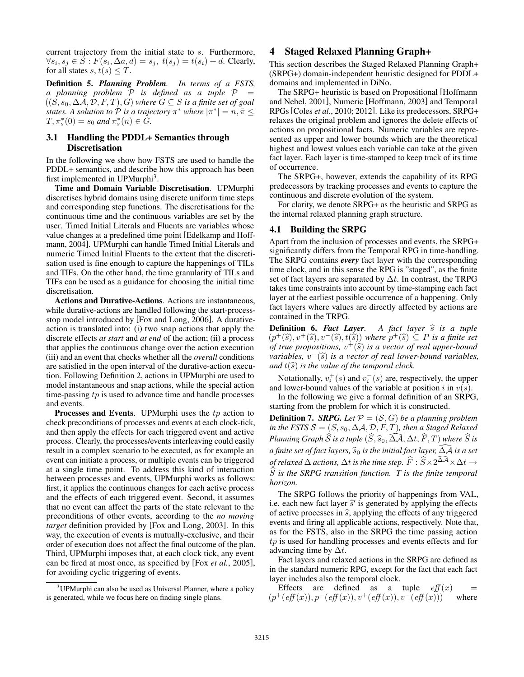current trajectory from the initial state to *s*. Furthermore,  $\forall s_i, s_j \in S : F(s_i, \Delta a, d) = s_j, t(s_j) = t(s_i) + d$ . Clearly, for all states *s*,  $t(s) \leq T$ .

Definition 5. *Planning Problem. In terms of a FSTS, a* planning problem  $P$  *is defined as a tuple*  $P =$  $((S, s_0, \Delta \mathcal{A}, \mathcal{D}, F, T), G)$  where  $G \subseteq S$  is a finite set of goal *states.* A *solution to*  $P$  *is a trajectory*  $\pi^*$  *where*  $|\pi^*| = n, \tilde{\pi} \leq$  $T, \pi_s^*(0) = s_0$  and  $\pi_s^*(n) \in G$ .

### 3.1 Handling the PDDL+ Semantics through Discretisation

In the following we show how FSTS are used to handle the PDDL+ semantics, and describe how this approach has been first implemented in UPMurphi<sup>3</sup>.

Time and Domain Variable Discretisation. UPMurphi discretises hybrid domains using discrete uniform time steps and corresponding step functions. The discretisations for the continuous time and the continuous variables are set by the user. Timed Initial Literals and Fluents are variables whose value changes at a predefined time point [Edelkamp and Hoffmann, 2004]. UPMurphi can handle Timed Initial Literals and numeric Timed Initial Fluents to the extent that the discretisation used is fine enough to capture the happenings of TILs and TIFs. On the other hand, the time granularity of TILs and TIFs can be used as a guidance for choosing the initial time discretisation.

Actions and Durative-Actions. Actions are instantaneous, while durative-actions are handled following the start-processstop model introduced by [Fox and Long, 2006]. A durativeaction is translated into: (i) two snap actions that apply the discrete effects *at start* and *at end* of the action; (ii) a process that applies the continuous change over the action execution (iii) and an event that checks whether all the *overall* conditions are satisfied in the open interval of the durative-action execution. Following Definition 2, actions in UPMurphi are used to model instantaneous and snap actions, while the special action time-passing *tp* is used to advance time and handle processes and events.

Processes and Events. UPMurphi uses the *tp* action to check preconditions of processes and events at each clock-tick, and then apply the effects for each triggered event and active process. Clearly, the processes/events interleaving could easily result in a complex scenario to be executed, as for example an event can initiate a process, or multiple events can be triggered at a single time point. To address this kind of interaction between processes and events, UPMurphi works as follows: first, it applies the continuous changes for each active process and the effects of each triggered event. Second, it assumes that no event can affect the parts of the state relevant to the preconditions of other events, according to the *no moving target* definition provided by [Fox and Long, 2003]. In this way, the execution of events is mutually-exclusive, and their order of execution does not affect the final outcome of the plan. Third, UPMurphi imposes that, at each clock tick, any event can be fired at most once, as specified by [Fox *et al.*, 2005], for avoiding cyclic triggering of events.

# 4 Staged Relaxed Planning Graph+

This section describes the Staged Relaxed Planning Graph+ (SRPG+) domain-independent heuristic designed for PDDL+ domains and implemented in DiNo.

The SRPG+ heuristic is based on Propositional [Hoffmann and Nebel, 2001], Numeric [Hoffmann, 2003] and Temporal RPGs [Coles *et al.*, 2010; 2012]. Like its predecessors, SRPG+ relaxes the original problem and ignores the delete effects of actions on propositional facts. Numeric variables are represented as upper and lower bounds which are the theoretical highest and lowest values each variable can take at the given fact layer. Each layer is time-stamped to keep track of its time of occurrence.

The SRPG+, however, extends the capability of its RPG predecessors by tracking processes and events to capture the continuous and discrete evolution of the system.

For clarity, we denote SRPG+ as the heuristic and SRPG as the internal relaxed planning graph structure.

#### 4.1 Building the SRPG

Apart from the inclusion of processes and events, the SRPG+ significantly differs from the Temporal RPG in time-handling. The SRPG contains *every* fact layer with the corresponding time clock, and in this sense the RPG is "staged", as the finite set of fact layers are separated by  $\Delta t$ . In contrast, the TRPG takes time constraints into account by time-stamping each fact layer at the earliest possible occurrence of a happening. Only fact layers where values are directly affected by actions are contained in the TRPG.

**Definition 6.** *Fact Layer*. A fact layer  $\hat{s}$  is a tuple  $(p^+(\hat{s}), v^+(\hat{s}), v^-(\hat{s}), t(\hat{s}))$  where  $p^+(\hat{s}) \subseteq P$  is a finite set *of true propositions,*  $v^+(\hat{s})$  *is a vector of real upper-bound variables,*  $v^-(\hat{s})$  *is a vector of real lower-bound variables, and*  $t(\hat{s})$  *is the value of the temporal clock.* 

Notationally,  $v_i^+(s)$  and  $v_i^-(s)$  are, respectively, the upper and lower-bound values of the variable at position *i* in *v*(*s*).

In the following we give a formal definition of an SRPG, starting from the problem for which it is constructed.

**Definition 7.** *SRPG. Let*  $P = (S, G)$  *be a planning problem in the FSTS*  $S = (S, s_0, \Delta \mathcal{A}, \mathcal{D}, F, T)$ *, then a Staged Relaxed Planning Graph S is a tuple*  $(S, \widehat{s}_0, \Delta A, \Delta t, F, T)$  where *S is a finite set of fact layers,*  $\widehat{s}_0$  *is the initial fact layer,*  $\Delta A$  *is a set* of relaxed  $\Delta$  actions,  $\Delta t$  is the time step.  $\widehat{F}:\widehat{S}\!\times\!2^{\Delta\mathcal{A}}\!\times\!\Delta t\to$  $\widehat{S}$  *is the SRPG transition function. T is the finite temporal horizon.*

The SRPG follows the priority of happenings from VAL, i.e. each new fact layer  $\hat{s}$ <sup>'</sup> is generated by applying the effects of active processes in  $\hat{s}$ , applying the effects of any triggered events and firing all applicable actions, respectively. Note that, as for the FSTS, also in the SRPG the time passing action *tp* is used for handling processes and events effects and for advancing time by  $\Delta t$ .

Fact layers and relaxed actions in the SRPG are defined as in the standard numeric RPG, except for the fact that each fact layer includes also the temporal clock.

Effects are defined as a tuple  $eff(x)$  =  $(p^+(eff(x)), p^-(eff(x)), v^+(eff(x)), v^-(eff(x)))$  where

<sup>&</sup>lt;sup>3</sup>UPMurphi can also be used as Universal Planner, where a policy is generated, while we focus here on finding single plans.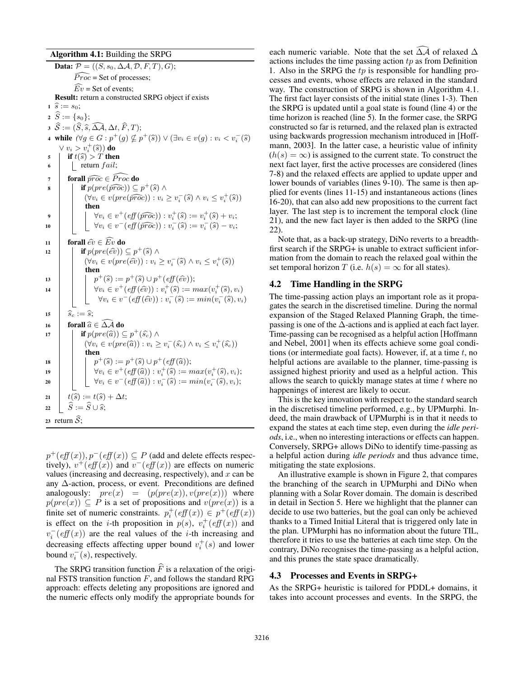Algorithm 4.1: Building the SRPG

Data:  $P = ((S, s_0, \Delta \mathcal{A}, \mathcal{D}, F, T), G);$  $\widehat{Proc}$  = Set of processes;  $Ev =$  Set of events; Result: return a constructed SRPG object if exists  $\hat{s} := s_0;$  $2 \hat{S} := \{s_0\};$  $S := (S, \widehat{s}, \Delta \mathcal{A}, \Delta t, F, T);$ 4 while  $(\forall g \in G : p^+(g) \nsubseteq p^+(\widehat{s})) \vee (\exists v_i \in v(g) : v_i < v_i^-(\widehat{s}))$  $\vee v_i > v_i^+(\widehat{s})\)$  do<br>*if t*  $\widehat{s}$  $\begin{array}{c|c} \n\mathbf{5} & \n\mathbf{1} & \n\mathbf{1} & \n\mathbf{1} & \n\mathbf{1} & \n\mathbf{1} & \n\mathbf{1} & \n\mathbf{1} & \n\mathbf{1} & \n\mathbf{1} & \n\mathbf{1} & \n\mathbf{1} & \n\mathbf{1} & \n\mathbf{1} & \n\mathbf{1} & \n\mathbf{1} & \n\mathbf{1} & \n\mathbf{1} & \n\mathbf{1} & \n\mathbf{1} & \n\mathbf{1} & \n\mathbf{1} & \n\mathbf{1} & \n\math$ <sup>6</sup> return *f ail*; *r* forall  $\widehat{proc} \in \widehat{Proc}$  do<br> *s* for  $( \widehat{proc} ) \subset$ **if**  $p(pre(\widehat{proc})) \subseteq p^+(\widehat{s}) \land$  $(\forall v_i \in v (pre(\widehat{proc})) : v_i \geq v_i^-(\widehat{s}) \land v_i \leq v_i^+(\widehat{s}))$ then  $\forall v_i \in v^+(eff(\widehat{proc})) : v_i^+(\widehat{s}) := v_i^+(\widehat{s}) + v_i;$ 10  $\bigcup \forall v_i \in v^-(eff(\widehat{proc})) : v_i^-(\widehat{s}) := v_i^-(\widehat{s}) - v_i;$ 11 forall  $\hat{ev} \in \widehat{Ev}$  do<br>
12 **if**  $p(\textit{pre}(\hat{ev}))$ **if**  $p(\text{pre}(\widehat{ev})) \subseteq p^+(\widehat{s})$   $\wedge$  $(\forall v_i \in v (pre(\widehat{ev})) : v_i \ge v_i^-(\widehat{s}) \land v_i \le v_i^+(\widehat{s}))$ then 13 **p**+(*s*) :=  $p$ +(*s*)  $\cup$   $p$ +(*eff*(*ev*<sup>t</sup>));<br>
14 **p**+(*s*)  $\cup$  *p*<sup>+</sup>(*eff*(*ev*<sub>1</sub>)); *n*<sup>+</sup>(*s*) := *n* 14  $\forall v_i \in v^+(eff(\hat{e}v)) : v_i^+(\hat{s}) := max(v_i^+(\hat{s}), v_i)$  $\forall v_i \in v^-(eff(\hat{ev})) : v_i^-(\hat{s}) := min(v_i^-(\hat{s}), v_i)$ 15  $\hat{s}_c := \hat{s}$ ;<br>
16 **forall**  $\hat{a}$ 16 **forall**  $\widehat{a} \in \Delta A$  **do** 17 **if**  $p(pre(\widehat{a})) \subseteq p^+(\widehat{s}_c) \wedge$  $(\forall v_i \in v (pre(\widehat{a})) : v_i \ge v_i^-(\widehat{s_c}) \land v_i \le v_i^+(\widehat{s_c}))$ then 18  $p^+(\hat{s}) := p^+(\hat{s}) \cup p^+(eff(\hat{a}));$ <br>
19  $\forall v_i \in v^+(eff(\hat{a})) : v_i^+(\hat{s}) := n$  $\forall v_i \in v^+(eff(\hat{a})) : v^+_i(\hat{s}) := max(v^+_i(\hat{s}), v_i);$ <br> $= (\hat{a} \times \hat{b})$  $\mathcal{V}v_i \in v^-(eff(\widehat{a})): v_i^-(\widehat{s}):= min(v_i^-(\widehat{s}), v_i);$  $\begin{aligned} \mathbf{z_1} \quad \begin{array}{|c|} \hline t(\widehat{s}) := t(\widehat{s}) + \Delta t; \ \widehat{S} := \widehat{S} \cup \widehat{s}; \end{array} \end{aligned}$  $\widehat{S} := \widehat{S} \cup \widehat{s}$ ; 23 return  $\widehat{S}$ ;

 $p^+(eff(x)), p^-(eff(x)) \subseteq P$  (add and delete effects respectively),  $v^+(eff(x))$  and  $v^-(eff(x))$  are effects on numeric values (increasing and decreasing, respectively), and *x* can be any  $\Delta$ -action, process, or event. Preconditions are defined analogously:  $pre(x) = (p(pre(x)), v(pre(x)))$  where  $p(pre(x)) \subseteq P$  is a set of propositions and  $v(pre(x))$  is a finite set of numeric constraints.  $p_i^+(eff(x)) \in p^+(eff(x))$ is effect on the *i*-th proposition in  $p(s)$ ,  $v_i^+(eff(x))$  and  $v_i^-(eff(x))$  are the real values of the *i*-th increasing and decreasing effects affecting upper bound  $v_i^+(s)$  and lower bound  $v_i^-(s)$ , respectively.

The SRPG transition function  $\widehat{F}$  is a relaxation of the original FSTS transition function *F*, and follows the standard RPG approach: effects deleting any propositions are ignored and the numeric effects only modify the appropriate bounds for

each numeric variable. Note that the set  $\Delta A$  of relaxed  $\Delta$ actions includes the time passing action *tp* as from Definition 1. Also in the SRPG the *tp* is responsible for handling processes and events, whose effects are relaxed in the standard way. The construction of SRPG is shown in Algorithm 4.1. The first fact layer consists of the initial state (lines 1-3). Then the SRPG is updated until a goal state is found (line 4) or the time horizon is reached (line 5). In the former case, the SRPG constructed so far is returned, and the relaxed plan is extracted using backwards progression mechanism introduced in [Hoffmann, 2003]. In the latter case, a heuristic value of infinity  $(h(s) = \infty)$  is assigned to the current state. To construct the next fact layer, first the active processes are considered (lines 7-8) and the relaxed effects are applied to update upper and lower bounds of variables (lines 9-10). The same is then applied for events (lines 11-15) and instantaneous actions (lines 16-20), that can also add new propositions to the current fact layer. The last step is to increment the temporal clock (line 21), and the new fact layer is then added to the SRPG (line 22).

Note that, as a back-up strategy, DiNo reverts to a breadthfirst search if the SRPG+ is unable to extract sufficient information from the domain to reach the relaxed goal within the set temporal horizon *T* (i.e.  $h(s) = \infty$  for all states).

### 4.2 Time Handling in the SRPG

The time-passing action plays an important role as it propagates the search in the discretised timeline. During the normal expansion of the Staged Relaxed Planning Graph, the timepassing is one of the  $\Delta$ -actions and is applied at each fact layer. Time-passing can be recognised as a helpful action [Hoffmann and Nebel, 2001] when its effects achieve some goal conditions (or intermediate goal facts). However, if, at a time *t*, no helpful actions are available to the planner, time-passing is assigned highest priority and used as a helpful action. This allows the search to quickly manage states at time *t* where no happenings of interest are likely to occur.

This is the key innovation with respect to the standard search in the discretised timeline performed, e.g., by UPMurphi. Indeed, the main drawback of UPMurphi is in that it needs to expand the states at each time step, even during the *idle periods*, i.e., when no interesting interactions or effects can happen. Conversely, SRPG+ allows DiNo to identify time-passing as a helpful action during *idle periods* and thus advance time, mitigating the state explosions.

An illustrative example is shown in Figure 2, that compares the branching of the search in UPMurphi and DiNo when planning with a Solar Rover domain. The domain is described in detail in Section 5. Here we highlight that the planner can decide to use two batteries, but the goal can only be achieved thanks to a Timed Initial Literal that is triggered only late in the plan. UPMurphi has no information about the future TIL, therefore it tries to use the batteries at each time step. On the contrary, DiNo recognises the time-passing as a helpful action, and this prunes the state space dramatically.

#### 4.3 Processes and Events in SRPG+

As the SRPG+ heuristic is tailored for PDDL+ domains, it takes into account processes and events. In the SRPG, the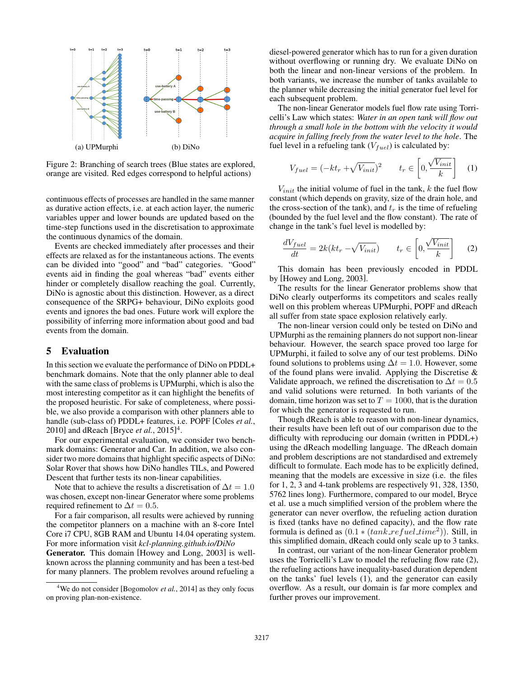

Figure 2: Branching of search trees (Blue states are explored, orange are visited. Red edges correspond to helpful actions)

continuous effects of processes are handled in the same manner as durative action effects, i.e. at each action layer, the numeric variables upper and lower bounds are updated based on the time-step functions used in the discretisation to approximate the continuous dynamics of the domain.

Events are checked immediately after processes and their effects are relaxed as for the instantaneous actions. The events can be divided into "good" and "bad" categories. "Good" events aid in finding the goal whereas "bad" events either hinder or completely disallow reaching the goal. Currently, DiNo is agnostic about this distinction. However, as a direct consequence of the SRPG+ behaviour, DiNo exploits good events and ignores the bad ones. Future work will explore the possibility of inferring more information about good and bad events from the domain.

### 5 Evaluation

In this section we evaluate the performance of DiNo on PDDL+ benchmark domains. Note that the only planner able to deal with the same class of problems is UPMurphi, which is also the most interesting competitor as it can highlight the benefits of the proposed heuristic. For sake of completeness, where possible, we also provide a comparison with other planners able to handle (sub-class of) PDDL+ features, i.e. POPF [Coles *et al.*, 2010] and dReach [Bryce *et al.*, 2015]4.

For our experimental evaluation, we consider two benchmark domains: Generator and Car. In addition, we also consider two more domains that highlight specific aspects of DiNo: Solar Rover that shows how DiNo handles TILs, and Powered Descent that further tests its non-linear capabilities.

Note that to achieve the results a discretisation of  $\Delta t = 1.0$ was chosen, except non-linear Generator where some problems required refinement to  $\Delta t = 0.5$ .

For a fair comparison, all results were achieved by running the competitor planners on a machine with an 8-core Intel Core i7 CPU, 8GB RAM and Ubuntu 14.04 operating system. For more information visit *kcl-planning.github.io/DiNo*

Generator. This domain [Howey and Long, 2003] is wellknown across the planning community and has been a test-bed for many planners. The problem revolves around refueling a

diesel-powered generator which has to run for a given duration without overflowing or running dry. We evaluate DiNo on both the linear and non-linear versions of the problem. In both variants, we increase the number of tanks available to the planner while decreasing the initial generator fuel level for each subsequent problem.

The non-linear Generator models fuel flow rate using Torricelli's Law which states: *Water in an open tank will flow out through a small hole in the bottom with the velocity it would acquire in falling freely from the water level to the hole*. The fuel level in a refueling tank  $(V_{fuel})$  is calculated by:

$$
V_{fuel} = (-kt_r + \sqrt{V_{init}})^2 \qquad t_r \in \left[0, \frac{\sqrt{V_{init}}}{k}\right] \quad (1)
$$

 $V_{init}$  the initial volume of fuel in the tank,  $k$  the fuel flow constant (which depends on gravity, size of the drain hole, and the cross-section of the tank), and  $t_r$  is the time of refueling (bounded by the fuel level and the flow constant). The rate of change in the tank's fuel level is modelled by:

$$
\frac{dV_{fuel}}{dt} = 2k(kt_r - \sqrt{V_{init}}) \qquad t_r \in \left[0, \frac{\sqrt{V_{init}}}{k}\right] \tag{2}
$$

This domain has been previously encoded in PDDL by [Howey and Long, 2003].

The results for the linear Generator problems show that DiNo clearly outperforms its competitors and scales really well on this problem whereas UPMurphi, POPF and dReach all suffer from state space explosion relatively early.

The non-linear version could only be tested on DiNo and UPMurphi as the remaining planners do not support non-linear behaviour. However, the search space proved too large for UPMurphi, it failed to solve any of our test problems. DiNo found solutions to problems using  $\Delta t = 1.0$ . However, some of the found plans were invalid. Applying the Discretise & Validate approach, we refined the discretisation to  $\Delta t = 0.5$ and valid solutions were returned. In both variants of the domain, time horizon was set to  $T = 1000$ , that is the duration for which the generator is requested to run.

Though dReach is able to reason with non-linear dynamics, their results have been left out of our comparison due to the difficulty with reproducing our domain (written in PDDL+) using the dReach modelling language. The dReach domain and problem descriptions are not standardised and extremely difficult to formulate. Each mode has to be explicitly defined, meaning that the models are excessive in size (i.e. the files for 1, 2, 3 and 4-tank problems are respectively 91, 328, 1350, 5762 lines long). Furthermore, compared to our model, Bryce et al. use a much simplified version of the problem where the generator can never overflow, the refueling action duration is fixed (tanks have no defined capacity), and the flow rate formula is defined as  $(0.1 * (tank\_refuel\_time^2))$ . Still, in this simplified domain, dReach could only scale up to 3 tanks.

In contrast, our variant of the non-linear Generator problem uses the Torricelli's Law to model the refueling flow rate (2), the refueling actions have inequality-based duration dependent on the tanks' fuel levels (1), and the generator can easily overflow. As a result, our domain is far more complex and further proves our improvement.

<sup>&</sup>lt;sup>4</sup>We do not consider [Bogomolov *et al.*, 2014] as they only focus on proving plan-non-existence.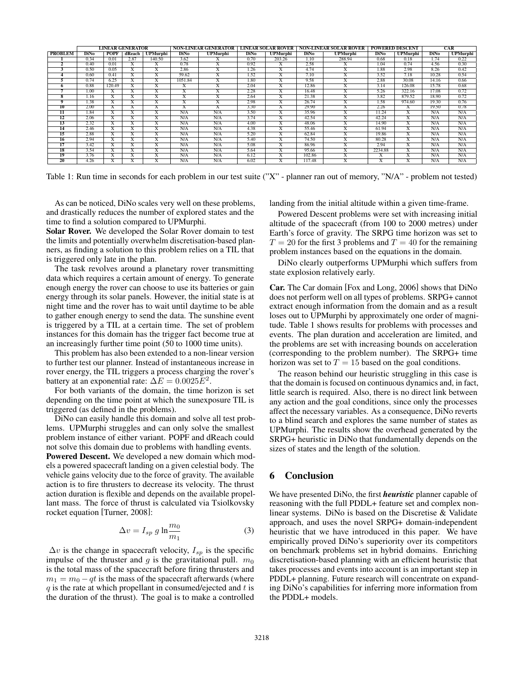|                         | LINEAR GENERATOR |                         |                              |                               | NON-LINEAR GENERATOR  |                              | <b>LINEAR SOLAR ROVER</b> |                              | <b>NON-LINEAR SOLAR ROVER</b> |                              | <b>POWERED DESCENT</b>       |                       | <b>CAR</b>  |                 |
|-------------------------|------------------|-------------------------|------------------------------|-------------------------------|-----------------------|------------------------------|---------------------------|------------------------------|-------------------------------|------------------------------|------------------------------|-----------------------|-------------|-----------------|
| <b>PROBLEM</b>          | <b>DiNo</b>      | <b>POPF</b>             | dReach                       | <b>UPMurphi</b>               | <b>DiNo</b>           | <b>UPMurphi</b>              | <b>DiNo</b>               | <b>UPMurphi</b>              | <b>DiNo</b>                   | <b>UPMurphi</b>              | <b>DiNo</b>                  | <b>UPMurphi</b>       | <b>DiNo</b> | <b>UPMurphi</b> |
|                         | 0.34             | 0.01                    | 2.87                         | 140.50                        | 3.62                  | л                            | 0.70                      | 203.26                       | 1.10                          | 288.94                       | 0.68                         | 0.18                  | 1.74        | 0.22            |
| ۰                       | 0.40             | 0.01                    | л                            | A                             | 0.78                  | A                            | 0.92                      | Х                            | 2.58                          | A                            | 1.04                         | 0.74                  | 4.56        | 0.30            |
|                         | 0.50             | 0.05                    | A                            | $\overline{\phantom{a}}$<br>л | 2.86                  | A                            | 1.26                      | л                            | 4.74                          | $\lambda$                    | 1.88                         | 2.98                  | 8.26        | 0.42            |
|                         | 0.60             | 0.41                    | X                            | $\overline{\mathbf{v}}$<br>A  | 59.62                 | $\overline{\mathrm{x}}$      | 1.52                      | $\overline{\text{X}}$        | 7.10                          | $\overline{\mathbf{v}}$<br>A | 3.52                         | 7.18                  | 10.28       | 0.54            |
|                         | 0.74             | 6.25                    | $\overline{\mathrm{x}}$      | $\overline{\mathbf{v}}$<br>л  | 1051.84               | $\overline{\text{X}}$        | 1.80                      | $\overline{\text{X}}$        | 9.58                          | $\overline{\mathbf{v}}$<br>л | 2.88                         | 30.08                 | 14.16       | 0.66            |
| 6                       | 0.88             | 120.49                  | A                            | л                             |                       | л                            | 2.04                      | $\lambda$                    | 12.86                         |                              | 3.14                         | 126.08                | 15.78       | 0.68            |
|                         | 1.00             | X                       | A                            | $\overline{\mathbf{v}}$<br>A  | л                     | $\overline{\mathbf{v}}$<br>A | 2.28                      | $\overline{\mathbf{v}}$<br>л | 16.48                         | $\overline{\mathbf{v}}$<br>A | 5.26                         | 322.16                | 17.08       | 0.72            |
| $\overline{\mathbf{s}}$ | 1.16             | $\overline{\mathbf{x}}$ | л                            | $\overline{\mathbf{v}}$<br>A  | л                     | $\overline{\mathbf{v}}$<br>л | 2.64                      | $\overline{\text{X}}$        | 21.38                         | $\overline{\mathbf{v}}$<br>л | 3.82                         | 879.52                | 18.90       | 0.72            |
| 9                       | 1.38             | $\overline{\text{X}}$   | $\overline{\mathbf{v}}$<br>л | $\overline{\mathbf{v}}$<br>A  | $\overline{\text{X}}$ | $\overline{\mathbf{x}}$      | 2.98                      | $\overline{\text{X}}$        | 26.74                         | $\overline{\mathbf{x}}$      | 1.58                         | 974.60                | 19.30       | 0.76            |
| $\overline{10}$         | 2.00             | $\overline{\text{X}}$   | A                            | A                             | л                     | л                            | 3.30                      | $\overline{\text{X}}$        | 29.90                         |                              | 2.26                         | Х                     | 19.50       | 0.78            |
| $\overline{11}$         | 1.84             | X                       | A                            | ᡪ<br>л                        | N/A                   | N/A                          | 3.50                      | X                            | 35.96                         | л                            | 11.24                        | A                     | N/A         | N/A             |
| $1\overline{2}$         | 2.06             | Х                       | x,<br>л                      | $\overline{\mathbf{r}}$<br>A  | N/A                   | N/A                          | 3.74                      | $\overline{\text{X}}$        | 42.54                         | $\mathbf{v}$<br>л            | 42.24                        | $\mathbf{v}$<br>A     | N/A         | N/A             |
| 13                      | 2.32             | $\overline{\mathbf{x}}$ | л                            | A                             | N/A                   | N/A                          | 4.00                      | х                            | 48.06                         | $\lambda$                    | 14.90                        | A                     | N/A         | N/A             |
| $\overline{14}$         | 2.46             | $\overline{\mathbf{x}}$ | $\lambda$                    | $\lambda$                     | N/A                   | N/A                          | 4.38                      | л                            | 55.46                         |                              | 61.94                        | A                     | N/A         | N/A             |
| $1\overline{5}$         | 2.88             | Х                       |                              | x,<br>л                       | N/A                   | N/A                          | 5.20                      | $\mathbf{v}$<br>л            | 62.84                         | $\lambda$                    | 19.86                        | л                     | N/A         | N/A             |
| $\overline{16}$         | 2.94             | $\overline{\text{X}}$   | A                            | $\overline{\mathbf{v}}$<br>A  | N/A                   | N/A                          | 5.40                      | $\overline{\text{X}}$        | 74.50                         | $\overline{\mathbf{v}}$<br>A | 80.28                        | $\overline{\text{X}}$ | N/A         | N/A             |
| 17                      | 3.42             | A                       | A                            | л                             | N/A                   | N/A                          | 5.08                      | A                            | 86.96                         |                              | 2.94                         | A                     | N/A         | N/A             |
| 18                      | 3.54             | $\overline{\mathbf{x}}$ | $\lambda$                    | л                             | N/A                   | N/A                          | 5.64                      | л                            | 95.66                         | $\lambda$                    | 2234.88                      | $\lambda$             | N/A         | N/A             |
| 19                      | 3.76             | $\overline{\mathbf{x}}$ | л                            | A                             | N/A                   | N/A                          | 6.12                      | $\overline{\text{X}}$        | 102.86                        |                              | л                            | Х                     | N/A         | N/A             |
| 20                      | 4.26             | $\overline{\mathbf{x}}$ | A                            | $\overline{\mathbf{r}}$<br>л  | N/A                   | N/A                          | 6.02                      | $\overline{\mathbf{x}}$      | 117.48                        | ᠊᠇                           | $\overline{\mathbf{r}}$<br>л | ᡪ<br>л                | N/A         | N/A             |

Table 1: Run time in seconds for each problem in our test suite ("X" - planner ran out of memory, "N/A" - problem not tested)

As can be noticed, DiNo scales very well on these problems, and drastically reduces the number of explored states and the time to find a solution compared to UPMurphi.

Solar Rover. We developed the Solar Rover domain to test the limits and potentially overwhelm discretisation-based planners, as finding a solution to this problem relies on a TIL that is triggered only late in the plan.

The task revolves around a planetary rover transmitting data which requires a certain amount of energy. To generate enough energy the rover can choose to use its batteries or gain energy through its solar panels. However, the initial state is at night time and the rover has to wait until daytime to be able to gather enough energy to send the data. The sunshine event is triggered by a TIL at a certain time. The set of problem instances for this domain has the trigger fact become true at an increasingly further time point (50 to 1000 time units).

This problem has also been extended to a non-linear version to further test our planner. Instead of instantaneous increase in rover energy, the TIL triggers a process charging the rover's battery at an exponential rate:  $\Delta E = 0.0025E^2$ .

For both variants of the domain, the time horizon is set depending on the time point at which the sunexposure TIL is triggered (as defined in the problems).

DiNo can easily handle this domain and solve all test problems. UPMurphi struggles and can only solve the smallest problem instance of either variant. POPF and dReach could not solve this domain due to problems with handling events.

Powered Descent. We developed a new domain which models a powered spacecraft landing on a given celestial body. The vehicle gains velocity due to the force of gravity. The available action is to fire thrusters to decrease its velocity. The thrust action duration is flexible and depends on the available propellant mass. The force of thrust is calculated via Tsiolkovsky rocket equation [Turner, 2008]:

$$
\Delta v = I_{sp} g \ln \frac{m_0}{m_1} \tag{3}
$$

 $\Delta v$  is the change in spacecraft velocity,  $I_{sp}$  is the specific impulse of the thruster and  $g$  is the gravitational pull.  $m_0$ is the total mass of the spacecraft before firing thrusters and  $m_1 = m_0 - qt$  is the mass of the spacecraft afterwards (where *q* is the rate at which propellant in consumed/ejected and *t* is the duration of the thrust). The goal is to make a controlled landing from the initial altitude within a given time-frame.

Powered Descent problems were set with increasing initial altitude of the spacecraft (from 100 to 2000 metres) under Earth's force of gravity. The SRPG time horizon was set to  $T = 20$  for the first 3 problems and  $T = 40$  for the remaining problem instances based on the equations in the domain.

DiNo clearly outperforms UPMurphi which suffers from state explosion relatively early.

Car. The Car domain [Fox and Long, 2006] shows that DiNo does not perform well on all types of problems. SRPG+ cannot extract enough information from the domain and as a result loses out to UPMurphi by approximately one order of magnitude. Table 1 shows results for problems with processes and events. The plan duration and acceleration are limited, and the problems are set with increasing bounds on acceleration (corresponding to the problem number). The SRPG+ time horizon was set to  $T = 15$  based on the goal conditions.

The reason behind our heuristic struggling in this case is that the domain is focused on continuous dynamics and, in fact, little search is required. Also, there is no direct link between any action and the goal conditions, since only the processes affect the necessary variables. As a consequence, DiNo reverts to a blind search and explores the same number of states as UPMurphi. The results show the overhead generated by the SRPG+ heuristic in DiNo that fundamentally depends on the sizes of states and the length of the solution.

# 6 Conclusion

We have presented DiNo, the first *heuristic* planner capable of reasoning with the full PDDL+ feature set and complex nonlinear systems. DiNo is based on the Discretise & Validate approach, and uses the novel SRPG+ domain-independent heuristic that we have introduced in this paper. We have empirically proved DiNo's superiority over its competitors on benchmark problems set in hybrid domains. Enriching discretisation-based planning with an efficient heuristic that takes processes and events into account is an important step in PDDL+ planning. Future research will concentrate on expanding DiNo's capabilities for inferring more information from the PDDL+ models.